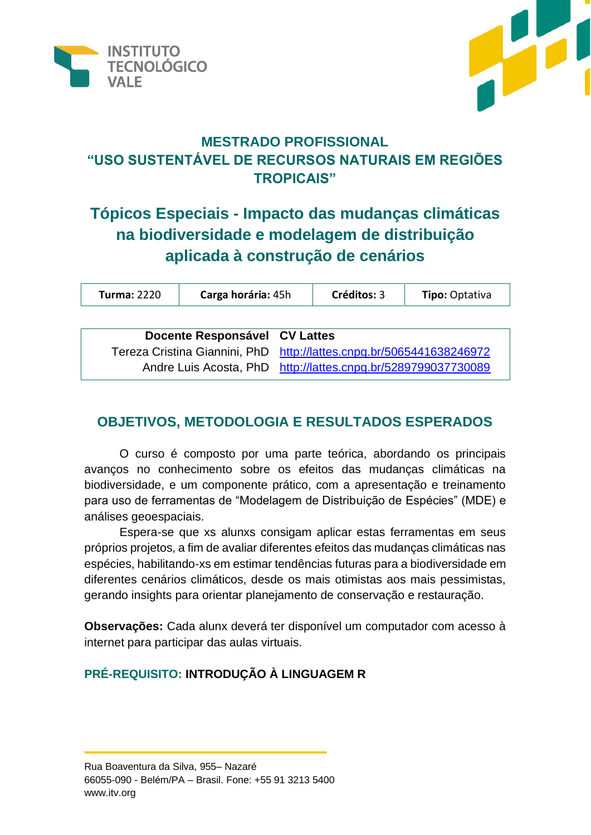



# **MESTRADO PROFISSIONAL "USO SUSTENTÁVEL DE RECURSOS NATURAIS EM REGIÕES TROPICAIS"**

# **Tópicos Especiais - Impacto das mudanças climáticas na biodiversidade e modelagem de distribuição aplicada à construção de cenários**

| <b>Turma: 2220</b>                 | Carga horária: 45h | Créditos: 3 | <b>Tipo: Optativa</b> |  |
|------------------------------------|--------------------|-------------|-----------------------|--|
|                                    |                    |             |                       |  |
| Become Beckershire<br>$OMI = 44.7$ |                    |             |                       |  |

| Docente Responsável CV Lattes |                                                                      |
|-------------------------------|----------------------------------------------------------------------|
|                               | Tereza Cristina Giannini, PhD http://lattes.cnpq.br/5065441638246972 |
|                               | Andre Luis Acosta, PhD http://lattes.cnpq.br/5289799037730089        |

## **OBJETIVOS, METODOLOGIA E RESULTADOS ESPERADOS**

O curso é composto por uma parte teórica, abordando os principais avanços no conhecimento sobre os efeitos das mudanças climáticas na biodiversidade, e um componente prático, com a apresentação e treinamento para uso de ferramentas de "Modelagem de Distribuição de Espécies" (MDE) e análises geoespaciais.

Espera-se que xs alunxs consigam aplicar estas ferramentas em seus próprios projetos, a fim de avaliar diferentes efeitos das mudanças climáticas nas espécies, habilitando-xs em estimar tendências futuras para a biodiversidade em diferentes cenários climáticos, desde os mais otimistas aos mais pessimistas, gerando insights para orientar planejamento de conservação e restauração.

**Observações:** Cada alunx deverá ter disponível um computador com acesso à internet para participar das aulas virtuais.

### **PRÉ-REQUISITO: INTRODUÇÃO À LINGUAGEM R**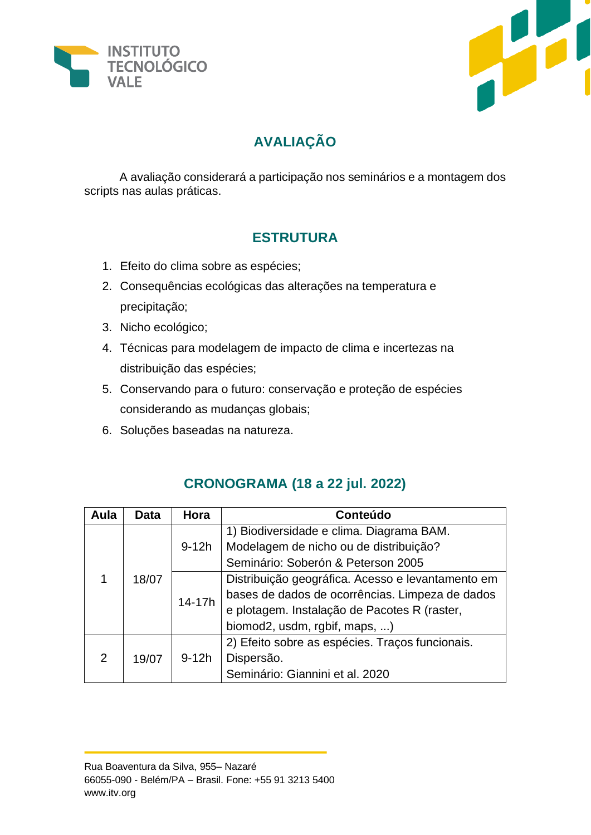



# **AVALIAÇÃO**

A avaliação considerará a participação nos seminários e a montagem dos scripts nas aulas práticas.

## **ESTRUTURA**

- 1. Efeito do clima sobre as espécies;
- 2. Consequências ecológicas das alterações na temperatura e precipitação;
- 3. Nicho ecológico;
- 4. Técnicas para modelagem de impacto de clima e incertezas na distribuição das espécies;
- 5. Conservando para o futuro: conservação e proteção de espécies considerando as mudanças globais;
- 6. Soluções baseadas na natureza.

| Aula | <b>Data</b> | Hora    | Conteúdo                                          |
|------|-------------|---------|---------------------------------------------------|
|      | 18/07       | $9-12h$ | 1) Biodiversidade e clima. Diagrama BAM.          |
|      |             |         | Modelagem de nicho ou de distribuição?            |
|      |             |         | Seminário: Soberón & Peterson 2005                |
|      |             | 14-17h  | Distribuição geográfica. Acesso e levantamento em |
|      |             |         | bases de dados de ocorrências. Limpeza de dados   |
|      |             |         | e plotagem. Instalação de Pacotes R (raster,      |
|      |             |         | biomod2, usdm, rgbif, maps, )                     |
| 2    | 19/07       | $9-12h$ | 2) Efeito sobre as espécies. Traços funcionais.   |
|      |             |         | Dispersão.                                        |
|      |             |         | Seminário: Giannini et al. 2020                   |

### **CRONOGRAMA (18 a 22 jul. 2022)**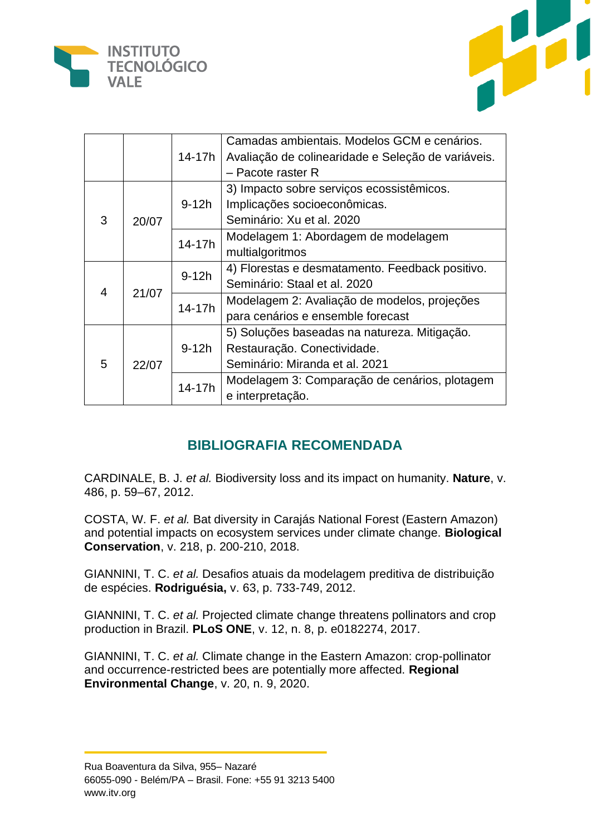



|            |        |                                                    | Camadas ambientais. Modelos GCM e cenários.     |
|------------|--------|----------------------------------------------------|-------------------------------------------------|
|            | 14-17h | Avaliação de colinearidade e Seleção de variáveis. |                                                 |
|            |        |                                                    | - Pacote raster R                               |
| 3<br>20/07 |        | $9-12h$                                            | 3) Impacto sobre serviços ecossistêmicos.       |
|            |        |                                                    | Implicações socioeconômicas.                    |
|            |        | Seminário: Xu et al. 2020                          |                                                 |
|            | 14-17h | Modelagem 1: Abordagem de modelagem                |                                                 |
|            |        |                                                    | multialgoritmos                                 |
| 21/07<br>4 |        | $9-12h$<br>14-17h                                  | 4) Florestas e desmatamento. Feedback positivo. |
|            |        |                                                    | Seminário: Staal et al. 2020                    |
|            |        |                                                    | Modelagem 2: Avaliação de modelos, projeções    |
|            |        |                                                    | para cenários e ensemble forecast               |
| 5          |        | $9-12h$                                            | 5) Soluções baseadas na natureza. Mitigação.    |
|            |        |                                                    | Restauração. Conectividade.                     |
|            | 22/07  |                                                    | Seminário: Miranda et al. 2021                  |
|            |        | 14-17h                                             | Modelagem 3: Comparação de cenários, plotagem   |
|            |        |                                                    | e interpretação.                                |

### **BIBLIOGRAFIA RECOMENDADA**

CARDINALE, B. J. *et al.* Biodiversity loss and its impact on humanity. **Nature**, v. 486, p. 59–67, 2012.

COSTA, W. F. *et al.* Bat diversity in Carajás National Forest (Eastern Amazon) and potential impacts on ecosystem services under climate change. **Biological Conservation**, v. 218, p. 200-210, 2018.

GIANNINI, T. C. *et al.* Desafios atuais da modelagem preditiva de distribuição de espécies. **Rodriguésia,** v. 63, p. 733-749, 2012.

GIANNINI, T. C. *et al.* Projected climate change threatens pollinators and crop production in Brazil. **PLoS ONE**, v. 12, n. 8, p. e0182274, 2017.

GIANNINI, T. C. *et al.* Climate change in the Eastern Amazon: crop-pollinator and occurrence-restricted bees are potentially more affected. **Regional Environmental Change**, v. 20, n. 9, 2020.

Rua Boaventura da Silva, 955– Nazaré 66055-090 - Belém/PA – Brasil. Fone: +55 91 3213 5400 www.itv.org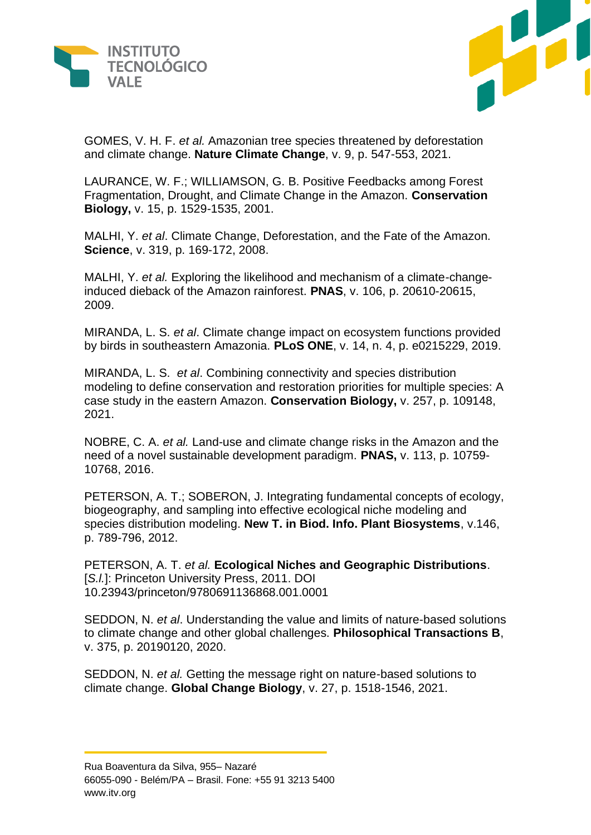



GOMES, V. H. F. *et al.* Amazonian tree species threatened by deforestation and climate change. **Nature Climate Change**, v. 9, p. 547-553, 2021.

LAURANCE, W. F.; WILLIAMSON, G. B. Positive Feedbacks among Forest Fragmentation, Drought, and Climate Change in the Amazon. **Conservation Biology,** v. 15, p. 1529-1535, 2001.

MALHI, Y. *et al*. Climate Change, Deforestation, and the Fate of the Amazon. **Science**, v. 319, p. 169-172, 2008.

MALHI, Y. *et al.* Exploring the likelihood and mechanism of a climate-changeinduced dieback of the Amazon rainforest. **PNAS**, v. 106, p. 20610-20615, 2009.

MIRANDA, L. S. *et al*. Climate change impact on ecosystem functions provided by birds in southeastern Amazonia. **PLoS ONE**, v. 14, n. 4, p. e0215229, 2019.

MIRANDA, L. S. *et al*. Combining connectivity and species distribution modeling to define conservation and restoration priorities for multiple species: A case study in the eastern Amazon. **Conservation Biology,** v. 257, p. 109148, 2021.

NOBRE, C. A. *et al.* Land-use and climate change risks in the Amazon and the need of a novel sustainable development paradigm. **PNAS,** v. 113, p. 10759- 10768, 2016.

PETERSON, A. T.; SOBERON, J. Integrating fundamental concepts of ecology, biogeography, and sampling into effective ecological niche modeling and species distribution modeling. **New T. in Biod. Info. Plant Biosystems**, v.146, p. 789-796, 2012.

PETERSON, A. T. *et al.* **Ecological Niches and Geographic Distributions**. [S./.]: Princeton University Press, 2011. DOI 10.23943/princeton/9780691136868.001.0001

SEDDON, N. *et al*. Understanding the value and limits of nature-based solutions to climate change and other global challenges. **Philosophical Transactions B**, v. 375, p. 20190120, 2020.

SEDDON, N. *et al.* Getting the message right on nature-based solutions to climate change. **Global Change Biology**, v. 27, p. 1518-1546, 2021.